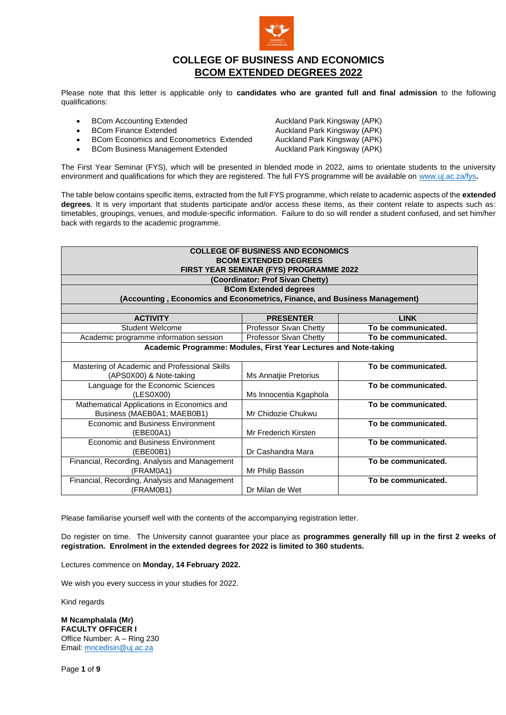

# **COLLEGE OF BUSINESS AND ECONOMICS BCOM EXTENDED DEGREES 2022**

Please note that this letter is applicable only to **candidates who are granted full and final admission** to the following qualifications:

- 
- 
- 
- BCom Business Management Extended

**BCom Accounting Extended Auckland Park Kingsway (APK)** • BCom Finance Extended **Auckland Park Kingsway (APK)** • BCom Economics and Econometrics Extended Auckland Park Kingsway (APK)<br>• BCom Business Management Extended Auckland Park Kingsway (APK)

The First Year Seminar (FYS), which will be presented in blended mode in 2022, aims to orientate students to the university environment and qualifications for which they are registered. The full FYS programme will be available on [www.uj.ac.za/fys](http://www.uj.ac.za/fys)**.** 

The table below contains specific items, extracted from the full FYS programme, which relate to academic aspects of the **extended degrees**. It is very important that students participate and/or access these items, as their content relate to aspects such as: timetables, groupings, venues, and module-specific information. Failure to do so will render a student confused, and set him/her back with regards to the academic programme.

| <b>COLLEGE OF BUSINESS AND ECONOMICS</b><br><b>BCOM EXTENDED DEGREES</b><br>FIRST YEAR SEMINAR (FYS) PROGRAMME 2022<br>(Coordinator: Prof Sivan Chetty)<br><b>BCom Extended degrees</b><br>(Accounting, Economics and Econometrics, Finance, and Business Management) |                               |                     |  |  |
|-----------------------------------------------------------------------------------------------------------------------------------------------------------------------------------------------------------------------------------------------------------------------|-------------------------------|---------------------|--|--|
| <b>ACTIVITY</b>                                                                                                                                                                                                                                                       | <b>PRESENTER</b>              | <b>LINK</b>         |  |  |
| <b>Student Welcome</b>                                                                                                                                                                                                                                                | Professor Sivan Chetty        | To be communicated. |  |  |
| Academic programme information session                                                                                                                                                                                                                                | <b>Professor Sivan Chetty</b> | To be communicated. |  |  |
| Academic Programme: Modules, First Year Lectures and Note-taking                                                                                                                                                                                                      |                               |                     |  |  |
| Mastering of Academic and Professional Skills<br>(APS0X00) & Note-taking                                                                                                                                                                                              | Ms Annatjie Pretorius         | To be communicated. |  |  |
| Language for the Economic Sciences<br>(LES0X00)                                                                                                                                                                                                                       | Ms Innocentia Kgaphola        | To be communicated. |  |  |
| Mathematical Applications in Economics and<br>Business (MAEB0A1; MAEB0B1)                                                                                                                                                                                             | Mr Chidozie Chukwu            | To be communicated. |  |  |
| <b>Economic and Business Environment</b><br>(EBE00A1)                                                                                                                                                                                                                 | Mr Frederich Kirsten          | To be communicated. |  |  |
| Economic and Business Environment<br>(EBE00B1)                                                                                                                                                                                                                        | Dr Cashandra Mara             | To be communicated. |  |  |
| Financial, Recording, Analysis and Management<br>(FRAM0A1)                                                                                                                                                                                                            | Mr Philip Basson              | To be communicated. |  |  |
| Financial, Recording, Analysis and Management<br>(FRAM0B1)                                                                                                                                                                                                            | Dr Milan de Wet               | To be communicated. |  |  |

Please familiarise yourself well with the contents of the accompanying registration letter.

Do register on time. The University cannot guarantee your place as **programmes generally fill up in the first 2 weeks of registration. Enrolment in the extended degrees for 2022 is limited to 360 students.**

Lectures commence on **Monday, 14 February 2022.**

We wish you every success in your studies for 2022.

Kind regards

**M Ncamphalala (Mr) FACULTY OFFICER I** Office Number: A – Ring 230 Email[: mncedisin@uj.ac.za](mailto:mncedisin@uj.ac.za)

Page **1** of **9**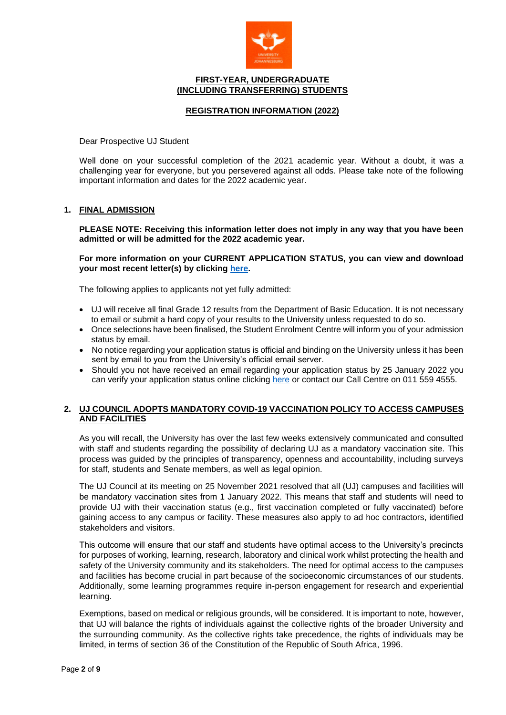

### **FIRST-YEAR, UNDERGRADUATE (INCLUDING TRANSFERRING) STUDENTS**

## **REGISTRATION INFORMATION (2022)**

Dear Prospective UJ Student

Well done on your successful completion of the 2021 academic year. Without a doubt, it was a challenging year for everyone, but you persevered against all odds. Please take note of the following important information and dates for the 2022 academic year.

#### **1. FINAL ADMISSION**

**PLEASE NOTE: Receiving this information letter does not imply in any way that you have been admitted or will be admitted for the 2022 academic year.** 

### **For more information on your CURRENT APPLICATION STATUS, you can view and download your most recent letter(s) by clicking [here.](https://student.uj.ac.za/status.aspx)**

The following applies to applicants not yet fully admitted:

- UJ will receive all final Grade 12 results from the Department of Basic Education. It is not necessary to email or submit a hard copy of your results to the University unless requested to do so.
- Once selections have been finalised, the Student Enrolment Centre will inform you of your admission status by email.
- No notice regarding your application status is official and binding on the University unless it has been sent by email to you from the University's official email server.
- Should you not have received an email regarding your application status by 25 January 2022 you can verify your application status online clicking [here](https://student.uj.ac.za/status.aspx) or contact our Call Centre on 011 559 4555.

### **2. UJ COUNCIL ADOPTS MANDATORY COVID-19 VACCINATION POLICY TO ACCESS CAMPUSES AND FACILITIES**

As you will recall, the University has over the last few weeks extensively communicated and consulted with staff and students regarding the possibility of declaring UJ as a mandatory vaccination site. This process was guided by the principles of transparency, openness and accountability, including surveys for staff, students and Senate members, as well as legal opinion.

The UJ Council at its meeting on 25 November 2021 resolved that all (UJ) campuses and facilities will be mandatory vaccination sites from 1 January 2022. This means that staff and students will need to provide UJ with their vaccination status (e.g., first vaccination completed or fully vaccinated) before gaining access to any campus or facility. These measures also apply to ad hoc contractors, identified stakeholders and visitors.

This outcome will ensure that our staff and students have optimal access to the University's precincts for purposes of working, learning, research, laboratory and clinical work whilst protecting the health and safety of the University community and its stakeholders. The need for optimal access to the campuses and facilities has become crucial in part because of the socioeconomic circumstances of our students. Additionally, some learning programmes require in-person engagement for research and experiential learning.

Exemptions, based on medical or religious grounds, will be considered. It is important to note, however, that UJ will balance the rights of individuals against the collective rights of the broader University and the surrounding community. As the collective rights take precedence, the rights of individuals may be limited, in terms of section 36 of the Constitution of the Republic of South Africa, 1996.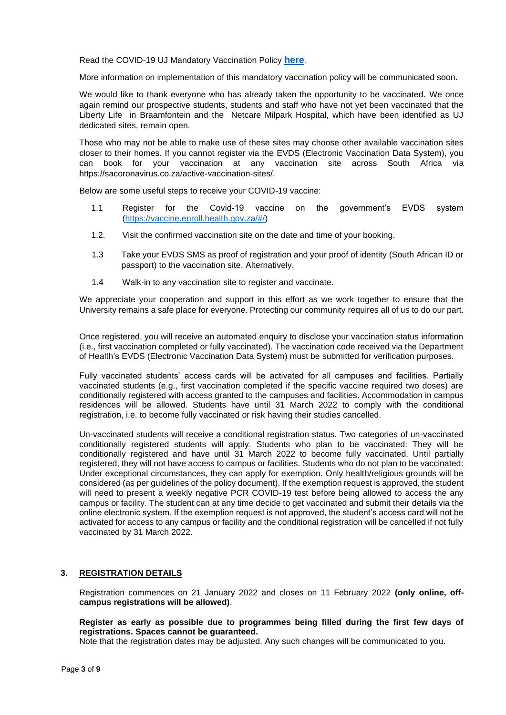Read the COVID-19 UJ Mandatory Vaccination Policy **[here](https://www.uj.ac.za/wp-content/uploads/2021/12/covid-19-mandatory-vaccination-policy-19-nov2021.pdf)**.

More information on implementation of this mandatory vaccination policy will be communicated soon.

We would like to thank everyone who has already taken the opportunity to be vaccinated. We once again remind our prospective students, students and staff who have not yet been vaccinated that the Liberty Life in Braamfontein and the Netcare Milpark Hospital, which have been identified as UJ dedicated sites, remain open.

Those who may not be able to make use of these sites may choose other available vaccination sites closer to their homes. If you cannot register via the EVDS (Electronic Vaccination Data System), you can book for your vaccination at any vaccination site across South Africa via https://sacoronavirus.co.za/active-vaccination-sites/.

Below are some useful steps to receive your COVID-19 vaccine:

- 1.1 Register for the Covid-19 vaccine on the government's EVDS system [\(https://vaccine.enroll.health.gov.za/#/\)](https://vaccine.enroll.health.gov.za/#/)
- 1.2. Visit the confirmed vaccination site on the date and time of your booking.
- 1.3 Take your EVDS SMS as proof of registration and your proof of identity (South African ID or passport) to the vaccination site. Alternatively,
- 1.4 Walk-in to any vaccination site to register and vaccinate.

We appreciate your cooperation and support in this effort as we work together to ensure that the University remains a safe place for everyone. Protecting our community requires all of us to do our part.

Once registered, you will receive an automated enquiry to disclose your vaccination status information (i.e., first vaccination completed or fully vaccinated). The vaccination code received via the Department of Health's EVDS (Electronic Vaccination Data System) must be submitted for verification purposes.

Fully vaccinated students' access cards will be activated for all campuses and facilities. Partially vaccinated students (e.g., first vaccination completed if the specific vaccine required two doses) are conditionally registered with access granted to the campuses and facilities. Accommodation in campus residences will be allowed. Students have until 31 March 2022 to comply with the conditional registration, i.e. to become fully vaccinated or risk having their studies cancelled.

Un-vaccinated students will receive a conditional registration status. Two categories of un-vaccinated conditionally registered students will apply. Students who plan to be vaccinated: They will be conditionally registered and have until 31 March 2022 to become fully vaccinated. Until partially registered, they will not have access to campus or facilities. Students who do not plan to be vaccinated: Under exceptional circumstances, they can apply for exemption. Only health/religious grounds will be considered (as per guidelines of the policy document). If the exemption request is approved, the student will need to present a weekly negative PCR COVID-19 test before being allowed to access the any campus or facility. The student can at any time decide to get vaccinated and submit their details via the online electronic system. If the exemption request is not approved, the student's access card will not be activated for access to any campus or facility and the conditional registration will be cancelled if not fully vaccinated by 31 March 2022.

#### **3. REGISTRATION DETAILS**

Registration commences on 21 January 2022 and closes on 11 February 2022 **(only online, offcampus registrations will be allowed)**.

#### **Register as early as possible due to programmes being filled during the first few days of registrations. Spaces cannot be guaranteed.**

Note that the registration dates may be adjusted. Any such changes will be communicated to you.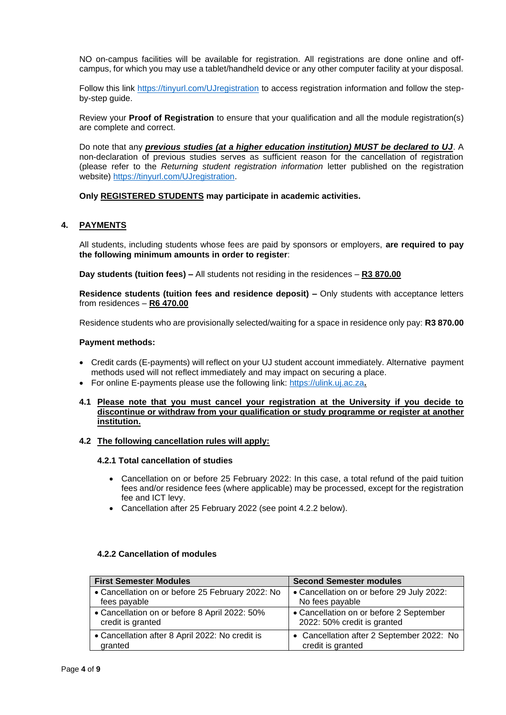NO on-campus facilities will be available for registration. All registrations are done online and offcampus, for which you may use a tablet/handheld device or any other computer facility at your disposal.

Follow this link<https://tinyurl.com/UJregistration> to access registration information and follow the stepby-step guide.

Review your **Proof of Registration** to ensure that your qualification and all the module registration(s) are complete and correct.

Do note that any *previous studies (at a higher education institution) MUST be declared to UJ*. A non-declaration of previous studies serves as sufficient reason for the cancellation of registration (please refer to the *Returning student registration information* letter published on the registration website) [https://tinyurl.com/UJregistration.](https://tinyurl.com/UJregistration)

### **Only REGISTERED STUDENTS may participate in academic activities.**

### **4. PAYMENTS**

All students, including students whose fees are paid by sponsors or employers, **are required to pay the following minimum amounts in order to register**:

**Day students (tuition fees) –** All students not residing in the residences – **R3 870.00**

**Residence students (tuition fees and residence deposit) –** Only students with acceptance letters from residences – **R6 470.00**

Residence students who are provisionally selected/waiting for a space in residence only pay: **R3 870.00**

#### **Payment methods:**

- Credit cards (E-payments) will reflect on your UJ student account immediately. Alternative payment methods used will not reflect immediately and may impact on securing a place.
- For online E-payments please use the following link: [https://ulink.uj.ac.za](https://ulink.uj.ac.za/)**.**
- **4.1 Please note that you must cancel your registration at the University if you decide to discontinue or withdraw from your qualification or study programme or register at another institution.**

#### **4.2 The following cancellation rules will apply:**

### **4.2.1 Total cancellation of studies**

- Cancellation on or before 25 February 2022: In this case, a total refund of the paid tuition fees and/or residence fees (where applicable) may be processed, except for the registration fee and ICT levy.
- Cancellation after 25 February 2022 (see point 4.2.2 below).

| <b>First Semester Modules</b>                                      | <b>Second Semester modules</b>                                         |  |
|--------------------------------------------------------------------|------------------------------------------------------------------------|--|
| • Cancellation on or before 25 February 2022: No                   | • Cancellation on or before 29 July 2022:                              |  |
| fees payable                                                       | No fees payable                                                        |  |
| • Cancellation on or before 8 April 2022: 50%<br>credit is granted | • Cancellation on or before 2 September<br>2022: 50% credit is granted |  |
| • Cancellation after 8 April 2022: No credit is<br>granted         | • Cancellation after 2 September 2022: No<br>credit is granted         |  |

#### **4.2.2 Cancellation of modules**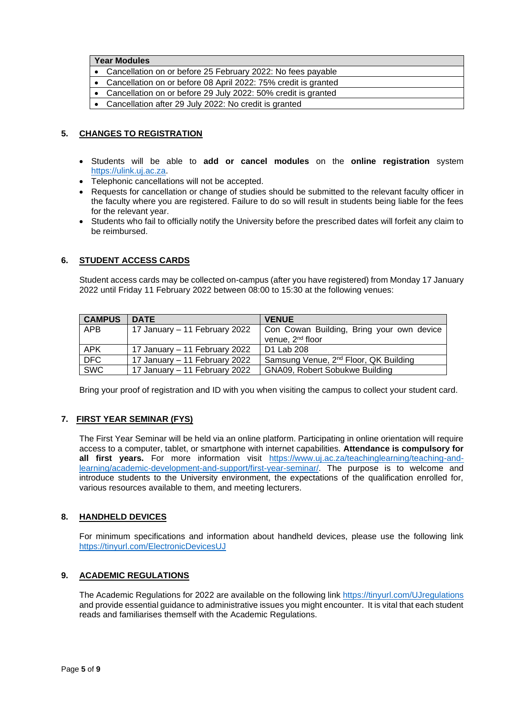# **Year Modules**

- Cancellation on or before 25 February 2022: No fees payable
- Cancellation on or before 08 April 2022: 75% credit is granted
- Cancellation on or before 29 July 2022: 50% credit is granted
- Cancellation after 29 July 2022: No credit is granted

# **5. CHANGES TO REGISTRATION**

- Students will be able to **add or cancel modules** on the **online registration** system [https://ulink.uj.ac.za.](https://ulink.uj.ac.za/)
- Telephonic cancellations will not be accepted.
- Requests for cancellation or change of studies should be submitted to the relevant faculty officer in the faculty where you are registered. Failure to do so will result in students being liable for the fees for the relevant year.
- Students who fail to officially notify the University before the prescribed dates will forfeit any claim to be reimbursed.

### **6. STUDENT ACCESS CARDS**

Student access cards may be collected on-campus (after you have registered) from Monday 17 January 2022 until Friday 11 February 2022 between 08:00 to 15:30 at the following venues:

| <b>CAMPUS</b> | <b>DATE</b>                   | <b>VENUE</b>                                      |
|---------------|-------------------------------|---------------------------------------------------|
| APB           | 17 January - 11 February 2022 | Con Cowan Building, Bring your own device         |
|               |                               | venue, 2 <sup>nd</sup> floor                      |
| APK           | 17 January – 11 February 2022 | D1 Lab 208                                        |
| <b>DFC</b>    | 17 January - 11 February 2022 | Samsung Venue, 2 <sup>nd</sup> Floor, QK Building |
| <b>SWC</b>    | 17 January – 11 February 2022 | <b>GNA09, Robert Sobukwe Building</b>             |

Bring your proof of registration and ID with you when visiting the campus to collect your student card.

#### **7. FIRST YEAR SEMINAR (FYS)**

The First Year Seminar will be held via an online platform. Participating in online orientation will require access to a computer, tablet, or smartphone with internet capabilities. **Attendance is compulsory for**  all first years. For more information visit [https://www.uj.ac.za/teachinglearning/teaching-and](https://www.uj.ac.za/teachinglearning/teaching-and-learning/academic-development-and-support/first-year-seminar/)[learning/academic-development-and-support/first-year-seminar/.](https://www.uj.ac.za/teachinglearning/teaching-and-learning/academic-development-and-support/first-year-seminar/) The purpose is to welcome and introduce students to the University environment, the expectations of the qualification enrolled for, various resources available to them, and meeting lecturers.

# **8. HANDHELD DEVICES**

For minimum specifications and information about handheld devices, please use the following link <https://tinyurl.com/ElectronicDevicesUJ>

#### **9. ACADEMIC REGULATIONS**

The Academic Regulations for 2022 are available on the following link<https://tinyurl.com/UJregulations> and provide essential guidance to administrative issues you might encounter. It is vital that each student reads and familiarises themself with the Academic Regulations.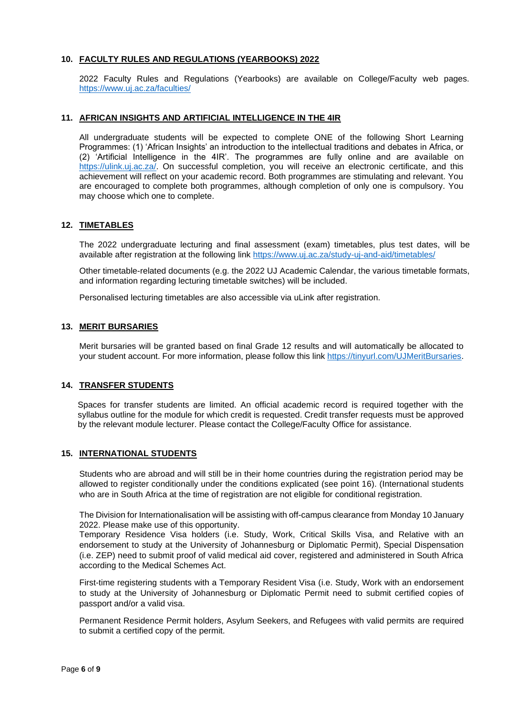## **10. FACULTY RULES AND REGULATIONS (YEARBOOKS) 2022**

2022 Faculty Rules and Regulations (Yearbooks) are available on College/Faculty web pages. <https://www.uj.ac.za/faculties/>

## **11. AFRICAN INSIGHTS AND ARTIFICIAL INTELLIGENCE IN THE 4IR**

All undergraduate students will be expected to complete ONE of the following Short Learning Programmes: (1) 'African Insights' an introduction to the intellectual traditions and debates in Africa, or (2) 'Artificial Intelligence in the 4IR'. The programmes are fully online and are available on [https://ulink.uj.ac.za/.](https://ulink.uj.ac.za/) On successful completion, you will receive an electronic certificate, and this achievement will reflect on your academic record. Both programmes are stimulating and relevant. You are encouraged to complete both programmes, although completion of only one is compulsory. You may choose which one to complete.

### **12. TIMETABLES**

The 2022 undergraduate lecturing and final assessment (exam) timetables, plus test dates, will be available after registration at the following link <https://www.uj.ac.za/study-uj-and-aid/timetables/>

Other timetable-related documents (e.g. the 2022 UJ Academic Calendar, the various timetable formats, and information regarding lecturing timetable switches) will be included.

Personalised lecturing timetables are also accessible via uLink after registration.

#### **13. MERIT BURSARIES**

Merit bursaries will be granted based on final Grade 12 results and will automatically be allocated to your student account. For more information, please follow this link [https://tinyurl.com/UJMeritBursaries.](https://tinyurl.com/UJMeritBursaries)

#### **14. TRANSFER STUDENTS**

Spaces for transfer students are limited. An official academic record is required together with the syllabus outline for the module for which credit is requested. Credit transfer requests must be approved by the relevant module lecturer. Please contact the College/Faculty Office for assistance.

#### **15. INTERNATIONAL STUDENTS**

Students who are abroad and will still be in their home countries during the registration period may be allowed to register conditionally under the conditions explicated (see point 16). (International students who are in South Africa at the time of registration are not eligible for conditional registration.

The Division for Internationalisation will be assisting with off-campus clearance from Monday 10 January 2022. Please make use of this opportunity.

Temporary Residence Visa holders (i.e. Study, Work, Critical Skills Visa, and Relative with an endorsement to study at the University of Johannesburg or Diplomatic Permit), Special Dispensation (i.e. ZEP) need to submit proof of valid medical aid cover, registered and administered in South Africa according to the Medical Schemes Act.

First-time registering students with a Temporary Resident Visa (i.e. Study, Work with an endorsement to study at the University of Johannesburg or Diplomatic Permit need to submit certified copies of passport and/or a valid visa.

Permanent Residence Permit holders, Asylum Seekers, and Refugees with valid permits are required to submit a certified copy of the permit.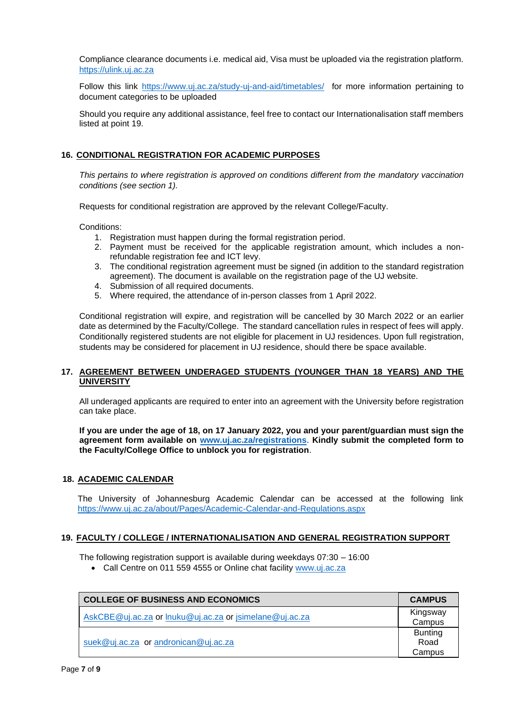Compliance clearance documents i.e. medical aid, Visa must be uploaded via the registration platform. https://ulink.uj.ac.za

Follow this link <https://www.uj.ac.za/study-uj-and-aid/timetables/> for more information pertaining to document categories to be uploaded

Should you require any additional assistance, feel free to contact our Internationalisation staff members listed at point 19.

# **16. CONDITIONAL REGISTRATION FOR ACADEMIC PURPOSES**

*This pertains to where registration is approved on conditions different from the mandatory vaccination conditions (see section 1).*

Requests for conditional registration are approved by the relevant College/Faculty.

Conditions:

- 1. Registration must happen during the formal registration period.
- 2. Payment must be received for the applicable registration amount, which includes a nonrefundable registration fee and ICT levy.
- 3. The conditional registration agreement must be signed (in addition to the standard registration agreement). The document is available on the registration page of the UJ website.
- 4. Submission of all required documents.
- 5. Where required, the attendance of in-person classes from 1 April 2022.

Conditional registration will expire, and registration will be cancelled by 30 March 2022 or an earlier date as determined by the Faculty/College. The standard cancellation rules in respect of fees will apply. Conditionally registered students are not eligible for placement in UJ residences. Upon full registration, students may be considered for placement in UJ residence, should there be space available.

# **17. AGREEMENT BETWEEN UNDERAGED STUDENTS (YOUNGER THAN 18 YEARS) AND THE UNIVERSITY**

All underaged applicants are required to enter into an agreement with the University before registration can take place.

**If you are under the age of 18, on 17 January 2022, you and your parent/guardian must sign the agreement form available on [www.uj.ac.za/registrations](http://www.uj.ac.za/registrations)**. **Kindly submit the completed form to the Faculty/College Office to unblock you for registration**.

# **18. ACADEMIC CALENDAR**

The University of Johannesburg Academic Calendar can be accessed at the following link <https://www.uj.ac.za/about/Pages/Academic-Calendar-and-Regulations.aspx>

#### **19. FACULTY / COLLEGE / INTERNATIONALISATION AND GENERAL REGISTRATION SUPPORT**

The following registration support is available during weekdays 07:30 – 16:00

• Call Centre on 011 559 4555 or Online chat facility [www.uj.ac.za](http://www.uj.ac.za/)

| <b>COLLEGE OF BUSINESS AND ECONOMICS</b>                | <b>CAMPUS</b>                    |
|---------------------------------------------------------|----------------------------------|
| AskCBE@uj.ac.za or lnuku@uj.ac.za or jsimelane@uj.ac.za | Kingsway<br>Campus               |
| suek@uj.ac.za or andronican@uj.ac.za                    | <b>Bunting</b><br>Road<br>Campus |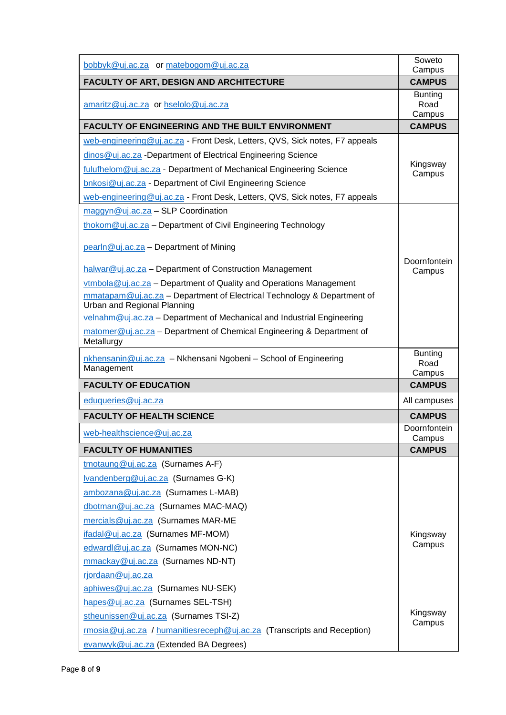| bobbyk@uj.ac.za or matebogom@uj.ac.za                                               | Soweto<br>Campus                 |
|-------------------------------------------------------------------------------------|----------------------------------|
| FACULTY OF ART, DESIGN AND ARCHITECTURE                                             | <b>CAMPUS</b>                    |
| amaritz@uj.ac.za or hselolo@uj.ac.za                                                | <b>Bunting</b><br>Road<br>Campus |
| <b>FACULTY OF ENGINEERING AND THE BUILT ENVIRONMENT</b>                             | <b>CAMPUS</b>                    |
| web-engineering@uj.ac.za - Front Desk, Letters, QVS, Sick notes, F7 appeals         |                                  |
| dinos@uj.ac.za -Department of Electrical Engineering Science                        |                                  |
| fulufhelom@uj.ac.za - Department of Mechanical Engineering Science                  | Kingsway<br>Campus               |
| bnkosi@uj.ac.za - Department of Civil Engineering Science                           |                                  |
| web-engineering@uj.ac.za - Front Desk, Letters, QVS, Sick notes, F7 appeals         |                                  |
| $maggyn@uj.ac.za - SLP Coordination$                                                |                                  |
| thokom@uj.ac.za - Department of Civil Engineering Technology                        |                                  |
| pearln@uj.ac.za - Department of Mining                                              |                                  |
| halwar@uj.ac.za - Department of Construction Management                             | Doornfontein<br>Campus           |
| vtmbola@uj.ac.za - Department of Quality and Operations Management                  |                                  |
| mmatapam@uj.ac.za - Department of Electrical Technology & Department of             |                                  |
| Urban and Regional Planning                                                         |                                  |
| velnahm@uj.ac.za - Department of Mechanical and Industrial Engineering              |                                  |
| matomer@uj.ac.za - Department of Chemical Engineering & Department of<br>Metallurgy |                                  |
| nkhensanin@uj.ac.za - Nkhensani Ngobeni - School of Engineering<br>Management       | <b>Bunting</b><br>Road<br>Campus |
| <b>FACULTY OF EDUCATION</b>                                                         | <b>CAMPUS</b>                    |
| eduqueries@uj.ac.za                                                                 | All campuses                     |
| <b>FACULTY OF HEALTH SCIENCE</b>                                                    | <b>CAMPUS</b>                    |
| web-healthscience@uj.ac.za                                                          | Doornfontein<br>Campus           |
| <b>FACULTY OF HUMANITIES</b>                                                        | <b>CAMPUS</b>                    |
| tmotaung@uj.ac.za (Surnames A-F)                                                    |                                  |
| Ivandenberg@uj.ac.za (Surnames G-K)                                                 |                                  |
| ambozana@uj.ac.za (Surnames L-MAB)                                                  |                                  |
| dbotman@uj.ac.za (Surnames MAC-MAQ)                                                 |                                  |
| mercials@uj.ac.za (Surnames MAR-ME                                                  |                                  |
| ifadal@uj.ac.za (Surnames MF-MOM)                                                   | Kingsway                         |
| edwardl@uj.ac.za (Surnames MON-NC)                                                  | Campus                           |
| mmackay@uj.ac.za (Surnames ND-NT)                                                   |                                  |
| rjordaan@uj.ac.za                                                                   |                                  |
| aphiwes@uj.ac.za (Surnames NU-SEK)                                                  |                                  |
| hapes@uj.ac.za (Surnames SEL-TSH)                                                   |                                  |
| stheunissen@uj.ac.za (Surnames TSI-Z)                                               | Kingsway<br>Campus               |
| rmosia@uj.ac.za / humanitiesreceph@uj.ac.za (Transcripts and Reception)             |                                  |
| evanwyk@uj.ac.za (Extended BA Degrees)                                              |                                  |